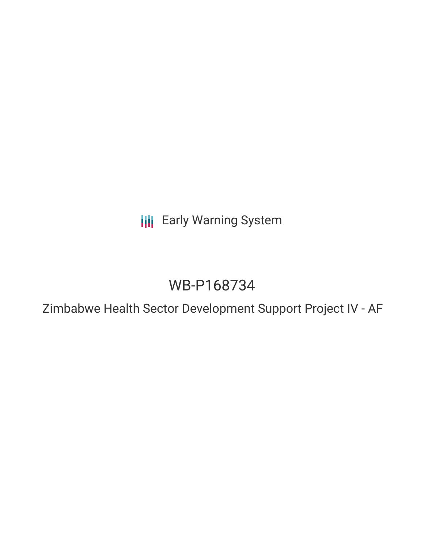**III** Early Warning System

# WB-P168734

Zimbabwe Health Sector Development Support Project IV - AF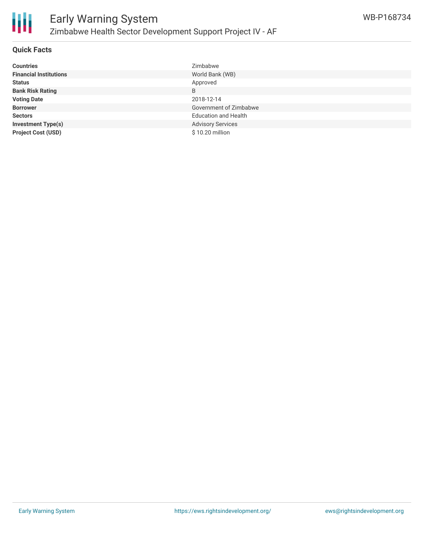

## **Quick Facts**

| <b>Countries</b>              | Zimbabwe                    |
|-------------------------------|-----------------------------|
| <b>Financial Institutions</b> | World Bank (WB)             |
| <b>Status</b>                 | Approved                    |
| <b>Bank Risk Rating</b>       | B                           |
| <b>Voting Date</b>            | 2018-12-14                  |
| <b>Borrower</b>               | Government of Zimbabwe      |
| <b>Sectors</b>                | <b>Education and Health</b> |
| <b>Investment Type(s)</b>     | <b>Advisory Services</b>    |
| <b>Project Cost (USD)</b>     | \$10.20 million             |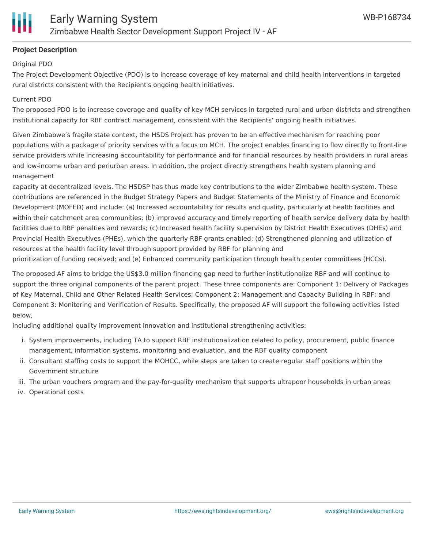# **Project Description**

#### Original PDO

The Project Development Objective (PDO) is to increase coverage of key maternal and child health interventions in targeted rural districts consistent with the Recipient's ongoing health initiatives.

#### Current PDO

The proposed PDO is to increase coverage and quality of key MCH services in targeted rural and urban districts and strengthen institutional capacity for RBF contract management, consistent with the Recipients' ongoing health initiatives.

Given Zimbabwe's fragile state context, the HSDS Project has proven to be an effective mechanism for reaching poor populations with a package of priority services with a focus on MCH. The project enables financing to flow directly to front-line service providers while increasing accountability for performance and for financial resources by health providers in rural areas and low-income urban and periurban areas. In addition, the project directly strengthens health system planning and management

capacity at decentralized levels. The HSDSP has thus made key contributions to the wider Zimbabwe health system. These contributions are referenced in the Budget Strategy Papers and Budget Statements of the Ministry of Finance and Economic Development (MOFED) and include: (a) Increased accountability for results and quality, particularly at health facilities and within their catchment area communities; (b) improved accuracy and timely reporting of health service delivery data by health facilities due to RBF penalties and rewards; (c) Increased health facility supervision by District Health Executives (DHEs) and Provincial Health Executives (PHEs), which the quarterly RBF grants enabled; (d) Strengthened planning and utilization of resources at the health facility level through support provided by RBF for planning and

prioritization of funding received; and (e) Enhanced community participation through health center committees (HCCs).

The proposed AF aims to bridge the US\$3.0 million financing gap need to further institutionalize RBF and will continue to support the three original components of the parent project. These three components are: Component 1: Delivery of Packages of Key Maternal, Child and Other Related Health Services; Component 2: Management and Capacity Building in RBF; and Component 3: Monitoring and Verification of Results. Specifically, the proposed AF will support the following activities listed below,

including additional quality improvement innovation and institutional strengthening activities:

- i. System improvements, including TA to support RBF institutionalization related to policy, procurement, public finance management, information systems, monitoring and evaluation, and the RBF quality component
- ii. Consultant staffing costs to support the MOHCC, while steps are taken to create regular staff positions within the Government structure
- iii. The urban vouchers program and the pay-for-quality mechanism that supports ultrapoor households in urban areas
- iv. Operational costs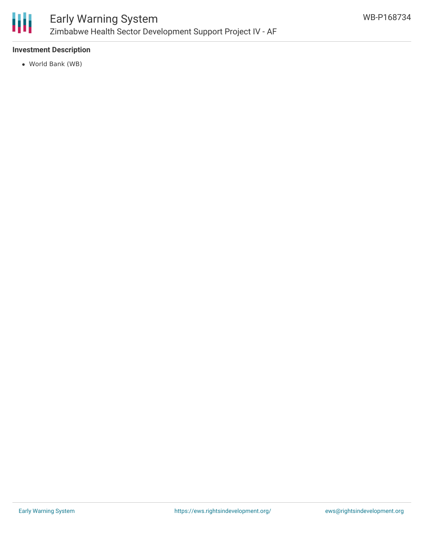

# **Investment Description**

World Bank (WB)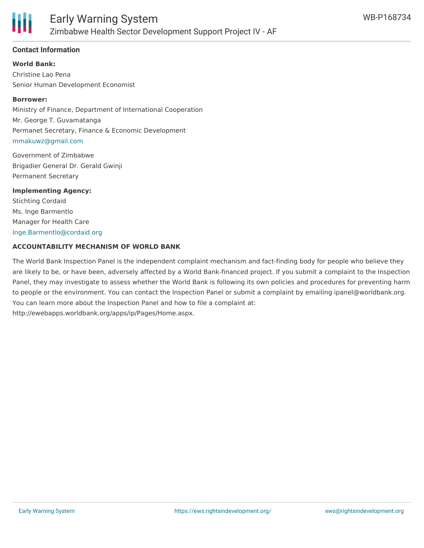

## **Contact Information**

**World Bank:**

Christine Lao Pena Senior Human Development Economist

#### **Borrower:**

Ministry of Finance, Department of International Cooperation Mr. George T. Guvamatanga Permanet Secretary, Finance & Economic Development [mmakuwz@gmail.com](mailto:mmakuwz@gmail.com)

Government of Zimbabwe Brigadier General Dr. Gerald Gwinji Permanent Secretary

**Implementing Agency:** Stichting Cordaid Ms. Inge Barmentlo Manager for Health Care [Inge.Barmentlo@cordaid.org](mailto:Inge.Barmentlo@cordaid.org)

#### **ACCOUNTABILITY MECHANISM OF WORLD BANK**

The World Bank Inspection Panel is the independent complaint mechanism and fact-finding body for people who believe they are likely to be, or have been, adversely affected by a World Bank-financed project. If you submit a complaint to the Inspection Panel, they may investigate to assess whether the World Bank is following its own policies and procedures for preventing harm to people or the environment. You can contact the Inspection Panel or submit a complaint by emailing ipanel@worldbank.org. You can learn more about the Inspection Panel and how to file a complaint at: http://ewebapps.worldbank.org/apps/ip/Pages/Home.aspx.